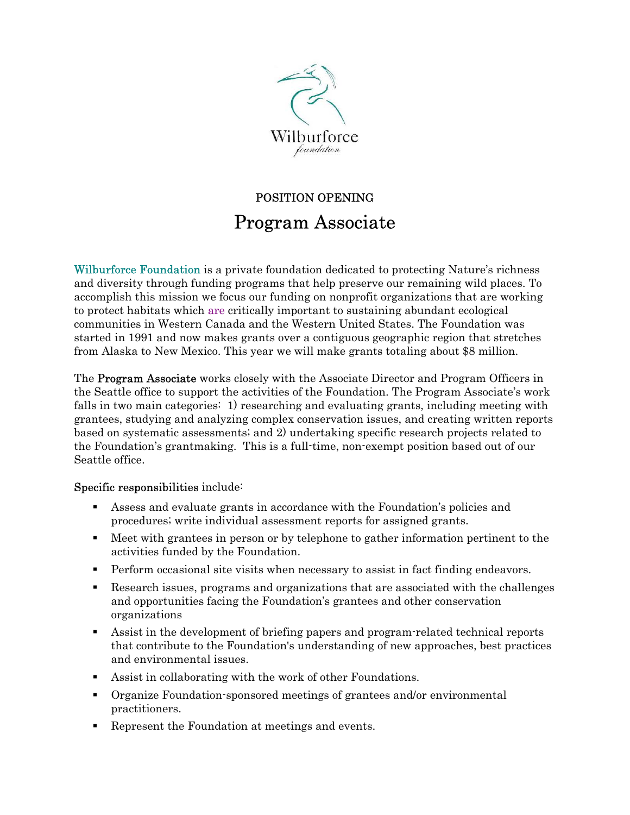

# POSITION OPENING Program Associate

[Wilburforce Foundation](http://www.wilburforce.org/) is a private foundation dedicated to protecting Nature's richness and diversity through funding programs that help preserve our remaining wild places. To accomplish this mission we focus our funding on nonprofit organizations that are working to protect habitats which are critically important to sustaining abundant ecological communities in Western Canada and the Western United States. The Foundation was started in 1991 and now makes grants over a contiguous geographic region that stretches from Alaska to New Mexico. This year we will make grants totaling about \$8 million.

The **Program Associate** works closely with the Associate Director and Program Officers in the Seattle office to support the activities of the Foundation. The Program Associate's work falls in two main categories: 1) researching and evaluating grants, including meeting with grantees, studying and analyzing complex conservation issues, and creating written reports based on systematic assessments; and 2) undertaking specific research projects related to the Foundation's grantmaking. This is a full-time, non-exempt position based out of our Seattle office.

## Specific responsibilities include:

- Assess and evaluate grants in accordance with the Foundation's policies and procedures; write individual assessment reports for assigned grants.
- Meet with grantees in person or by telephone to gather information pertinent to the activities funded by the Foundation.
- Perform occasional site visits when necessary to assist in fact finding endeavors.
- Research issues, programs and organizations that are associated with the challenges and opportunities facing the Foundation's grantees and other conservation organizations
- Assist in the development of briefing papers and program-related technical reports that contribute to the Foundation's understanding of new approaches, best practices and environmental issues.
- Assist in collaborating with the work of other Foundations.
- Organize Foundation-sponsored meetings of grantees and/or environmental practitioners.
- Represent the Foundation at meetings and events.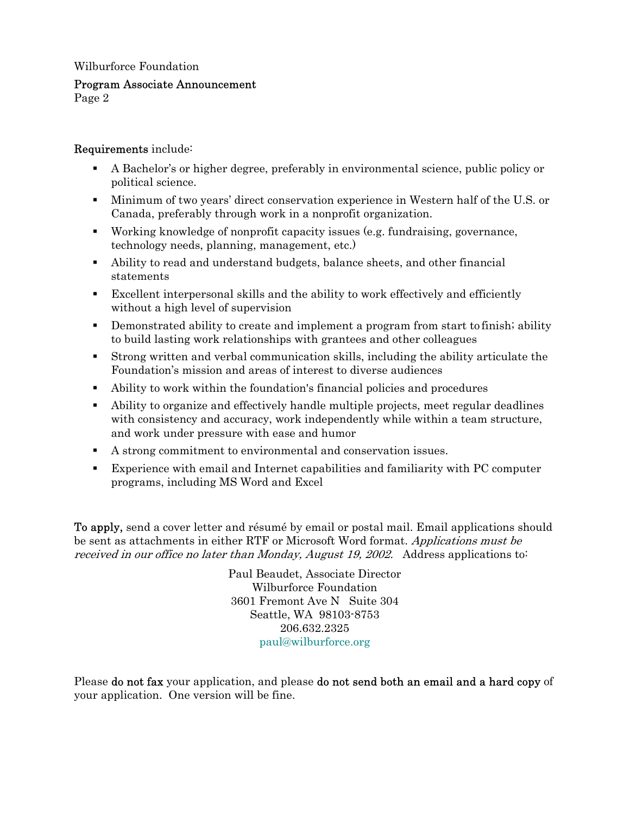### Wilburforce Foundation

#### Program Associate Announcement

Page 2

### Requirements include:

- A Bachelor's or higher degree, preferably in environmental science, public policy or political science.
- Minimum of two years' direct conservation experience in Western half of the U.S. or Canada, preferably through work in a nonprofit organization.
- Working knowledge of nonprofit capacity issues (e.g. fundraising, governance, technology needs, planning, management, etc.)
- Ability to read and understand budgets, balance sheets, and other financial statements
- Excellent interpersonal skills and the ability to work effectively and efficiently without a high level of supervision
- Demonstrated ability to create and implement a program from start to finish; ability to build lasting work relationships with grantees and other colleagues
- Strong written and verbal communication skills, including the ability articulate the Foundation's mission and areas of interest to diverse audiences
- Ability to work within the foundation's financial policies and procedures
- Ability to organize and effectively handle multiple projects, meet regular deadlines with consistency and accuracy, work independently while within a team structure, and work under pressure with ease and humor
- A strong commitment to environmental and conservation issues.
- Experience with email and Internet capabilities and familiarity with PC computer programs, including MS Word and Excel

To apply, send a cover letter and résumé by email or postal mail. Email applications should be sent as attachments in either RTF or Microsoft Word format. Applications must be received in our office no later than Monday, August 19, 2002. Address applications to:

> Paul Beaudet, Associate Director Wilburforce Foundation 3601 Fremont Ave N Suite 304 Seattle, WA 98103-8753 206.632.2325 [paul@wilburforce.org](mailto:paul@wilburforce.org)

Please **do not fax** your application, and please **do not send both an email and a hard copy** of your application. One version will be fine.